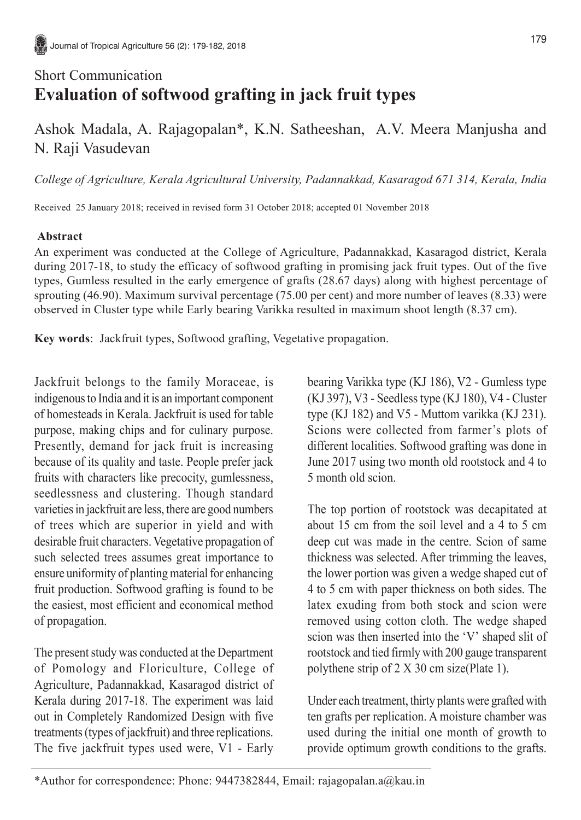## Short Communication **Evaluation of softwood grafting in jack fruit types**

Ashok Madala, A. Rajagopalan\*, K.N. Satheeshan, A.V. Meera Manjusha and N. Raji Vasudevan

*College of Agriculture, Kerala Agricultural University, Padannakkad, Kasaragod 671 314, Kerala, India*

Received 25 January 2018; received in revised form 31 October 2018; accepted 01 November 2018

## **Abstract**

An experiment was conducted at the College of Agriculture, Padannakkad, Kasaragod district, Kerala during 2017-18, to study the efficacy of softwood grafting in promising jack fruit types. Out of the five types, Gumless resulted in the early emergence of grafts (28.67 days) along with highest percentage of sprouting (46.90). Maximum survival percentage (75.00 per cent) and more number of leaves (8.33) were observed in Cluster type while Early bearing Varikka resulted in maximum shoot length (8.37 cm).

**Key words**: Jackfruit types, Softwood grafting, Vegetative propagation.

Jackfruit belongs to the family Moraceae, is indigenous to India and it is an important component of homesteads in Kerala. Jackfruit is used for table purpose, making chips and for culinary purpose. Presently, demand for jack fruit is increasing because of its quality and taste. People prefer jack fruits with characters like precocity, gumlessness, seedlessness and clustering. Though standard varieties in jackfruit are less, there are good numbers of trees which are superior in yield and with desirable fruit characters. Vegetative propagation of such selected trees assumes great importance to ensure uniformity of planting material for enhancing fruit production. Softwood grafting is found to be the easiest, most efficient and economical method of propagation.

The present study was conducted at the Department of Pomology and Floriculture, College of Agriculture, Padannakkad, Kasaragod district of Kerala during 2017-18. The experiment was laid out in Completely Randomized Design with five treatments (types of jackfruit) and three replications. The five jackfruit types used were, V1 - Early

bearing Varikka type (KJ 186), V2 - Gumless type (KJ 397), V3 - Seedless type (KJ 180), V4 - Cluster type (KJ 182) and V5 - Muttom varikka (KJ 231). Scions were collected from farmer's plots of different localities. Softwood grafting was done in June 2017 using two month old rootstock and 4 to 5 month old scion.

The top portion of rootstock was decapitated at about 15 cm from the soil level and a 4 to 5 cm deep cut was made in the centre. Scion of same thickness was selected. After trimming the leaves, the lower portion was given a wedge shaped cut of 4 to 5 cm with paper thickness on both sides. The latex exuding from both stock and scion were removed using cotton cloth. The wedge shaped scion was then inserted into the 'V' shaped slit of rootstock and tied firmly with 200 gauge transparent polythene strip of 2 X 30 cm size(Plate 1).

Under each treatment, thirty plants were grafted with ten grafts per replication. A moisture chamber was used during the initial one month of growth to provide optimum growth conditions to the grafts.

<sup>\*</sup>Author for correspondence: Phone: 9447382844, Email: rajagopalan.a@kau.in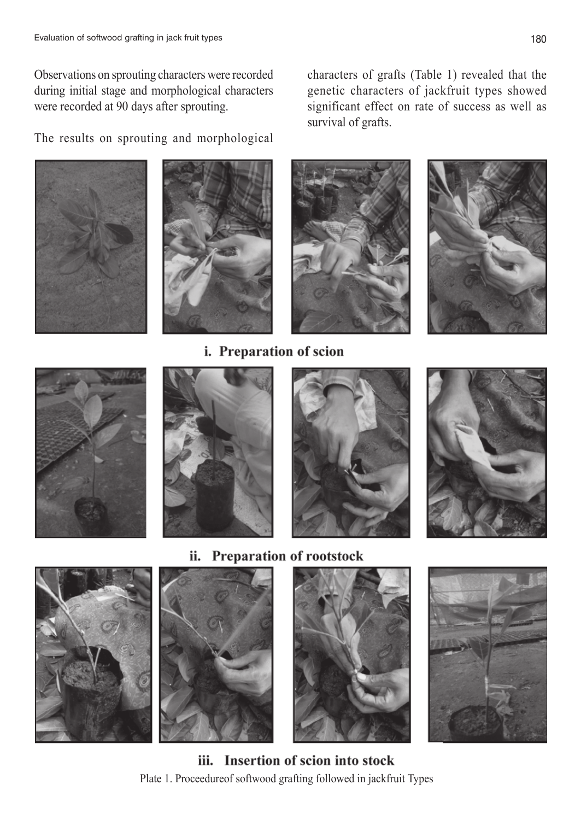Observations on sprouting characters were recorded during initial stage and morphological characters were recorded at 90 days after sprouting.

The results on sprouting and morphological

characters of grafts (Table 1) revealed that the genetic characters of jackfruit types showed significant effect on rate of success as well as survival of grafts.



i. Preparation of scion













ii.





iii. Insertion of scion into stock Plate 1. Proceedureof softwood grafting followed in jackfruit Types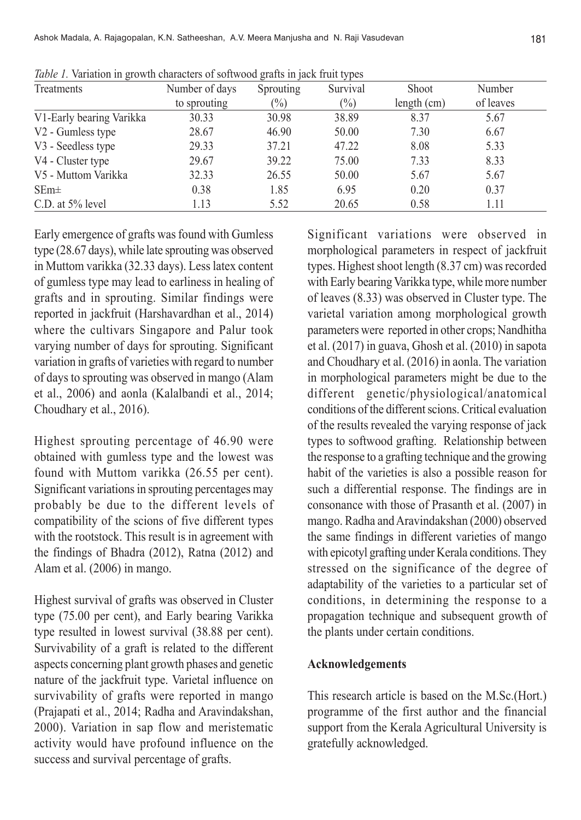| Treatments               | Number of days | Sprouting     | Survival      | <b>Shoot</b> | Number    |
|--------------------------|----------------|---------------|---------------|--------------|-----------|
|                          | to sprouting   | $\frac{1}{2}$ | $\frac{1}{2}$ | length (cm)  | of leaves |
| V1-Early bearing Varikka | 30.33          | 30.98         | 38.89         | 8.37         | 5.67      |
| V2 - Gumless type        | 28.67          | 46.90         | 50.00         | 7.30         | 6.67      |
| V3 - Seedless type       | 29.33          | 37.21         | 47.22         | 8.08         | 5.33      |
| V4 - Cluster type        | 29.67          | 39.22         | 75.00         | 7.33         | 8.33      |
| V5 - Muttom Varikka      | 32.33          | 26.55         | 50.00         | 5.67         | 5.67      |
| $SEm\pm$                 | 0.38           | 1.85          | 6.95          | 0.20         | 0.37      |
| C.D. at 5% level         | 1.13           | 5.52          | 20.65         | 0.58         | 1.11      |

*Table 1.* Variation in growth characters of softwood grafts in jack fruit types

Early emergence of grafts was found with Gumless type (28.67 days), while late sprouting was observed in Muttom varikka (32.33 days). Less latex content of gumless type may lead to earliness in healing of grafts and in sprouting. Similar findings were reported in jackfruit (Harshavardhan et al., 2014) where the cultivars Singapore and Palur took varying number of days for sprouting. Significant variation in grafts of varieties with regard to number of days to sprouting was observed in mango (Alam et al., 2006) and aonla (Kalalbandi et al., 2014; Choudhary et al., 2016).

Highest sprouting percentage of 46.90 were obtained with gumless type and the lowest was found with Muttom varikka (26.55 per cent). Significant variations in sprouting percentages may probably be due to the different levels of compatibility of the scions of five different types with the rootstock. This result is in agreement with the findings of Bhadra (2012), Ratna (2012) and Alam et al. (2006) in mango.

Highest survival of grafts was observed in Cluster type (75.00 per cent), and Early bearing Varikka type resulted in lowest survival (38.88 per cent). Survivability of a graft is related to the different aspects concerning plant growth phases and genetic nature of the jackfruit type. Varietal influence on survivability of grafts were reported in mango (Prajapati et al., 2014; Radha and Aravindakshan, 2000). Variation in sap flow and meristematic activity would have profound influence on the success and survival percentage of grafts.

Significant variations were observed in morphological parameters in respect of jackfruit types. Highest shoot length (8.37 cm) was recorded with Early bearing Varikka type, while more number of leaves (8.33) was observed in Cluster type. The varietal variation among morphological growth parameters were reported in other crops; Nandhitha et al. (2017) in guava, Ghosh et al. (2010) in sapota and Choudhary et al. (2016) in aonla. The variation in morphological parameters might be due to the different genetic/physiological/anatomical conditions of the different scions. Critical evaluation of the results revealed the varying response of jack types to softwood grafting. Relationship between the response to a grafting technique and the growing habit of the varieties is also a possible reason for such a differential response. The findings are in consonance with those of Prasanth et al. (2007) in mango. Radha and Aravindakshan (2000) observed the same findings in different varieties of mango with epicotyl grafting under Kerala conditions. They stressed on the significance of the degree of adaptability of the varieties to a particular set of conditions, in determining the response to a propagation technique and subsequent growth of the plants under certain conditions.

## **Acknowledgements**

This research article is based on the M.Sc.(Hort.) programme of the first author and the financial support from the Kerala Agricultural University is gratefully acknowledged.